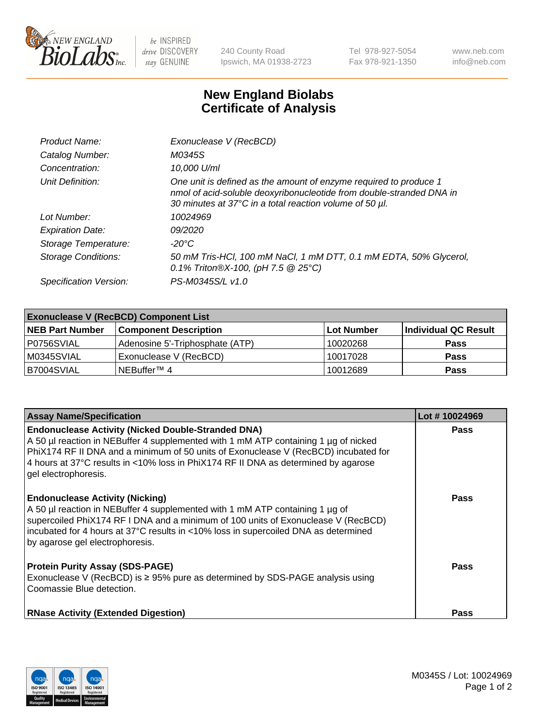

 $be$  INSPIRED drive DISCOVERY stay GENUINE

240 County Road Ipswich, MA 01938-2723 Tel 978-927-5054 Fax 978-921-1350 www.neb.com info@neb.com

## **New England Biolabs Certificate of Analysis**

| Product Name:              | Exonuclease V (RecBCD)                                                                                                                                                                               |
|----------------------------|------------------------------------------------------------------------------------------------------------------------------------------------------------------------------------------------------|
| Catalog Number:            | M0345S                                                                                                                                                                                               |
| Concentration:             | 10,000 U/ml                                                                                                                                                                                          |
| Unit Definition:           | One unit is defined as the amount of enzyme required to produce 1<br>nmol of acid-soluble deoxyribonucleotide from double-stranded DNA in<br>30 minutes at 37°C in a total reaction volume of 50 µl. |
| Lot Number:                | 10024969                                                                                                                                                                                             |
| <b>Expiration Date:</b>    | <i>09/2020</i>                                                                                                                                                                                       |
| Storage Temperature:       | -20°C                                                                                                                                                                                                |
| <b>Storage Conditions:</b> | 50 mM Tris-HCl, 100 mM NaCl, 1 mM DTT, 0.1 mM EDTA, 50% Glycerol,<br>0.1% Triton®X-100, (pH 7.5 $@25°C$ )                                                                                            |
| Specification Version:     | PS-M0345S/L v1.0                                                                                                                                                                                     |

| <b>Exonuclease V (RecBCD) Component List</b> |                                 |                   |                      |  |
|----------------------------------------------|---------------------------------|-------------------|----------------------|--|
| <b>NEB Part Number</b>                       | <b>Component Description</b>    | <b>Lot Number</b> | Individual QC Result |  |
| P0756SVIAL                                   | Adenosine 5'-Triphosphate (ATP) | 10020268          | <b>Pass</b>          |  |
| M0345SVIAL                                   | Exonuclease V (RecBCD)          | 10017028          | <b>Pass</b>          |  |
| B7004SVIAL                                   | INEBuffer™ 4                    | 10012689          | <b>Pass</b>          |  |

| <b>Assay Name/Specification</b>                                                                                                                                                                                                                                                                                                                       | Lot #10024969 |
|-------------------------------------------------------------------------------------------------------------------------------------------------------------------------------------------------------------------------------------------------------------------------------------------------------------------------------------------------------|---------------|
| <b>Endonuclease Activity (Nicked Double-Stranded DNA)</b><br>A 50 µl reaction in NEBuffer 4 supplemented with 1 mM ATP containing 1 µg of nicked<br>PhiX174 RF II DNA and a minimum of 50 units of Exonuclease V (RecBCD) incubated for<br>4 hours at 37°C results in <10% loss in PhiX174 RF II DNA as determined by agarose<br>gel electrophoresis. | <b>Pass</b>   |
| <b>Endonuclease Activity (Nicking)</b><br>A 50 µl reaction in NEBuffer 4 supplemented with 1 mM ATP containing 1 µg of<br>supercoiled PhiX174 RF I DNA and a minimum of 100 units of Exonuclease V (RecBCD)<br>incubated for 4 hours at 37°C results in <10% loss in supercoiled DNA as determined<br>by agarose gel electrophoresis.                 | <b>Pass</b>   |
| <b>Protein Purity Assay (SDS-PAGE)</b><br>Exonuclease V (RecBCD) is $\geq$ 95% pure as determined by SDS-PAGE analysis using<br>Coomassie Blue detection.                                                                                                                                                                                             | <b>Pass</b>   |
| <b>RNase Activity (Extended Digestion)</b>                                                                                                                                                                                                                                                                                                            | <b>Pass</b>   |